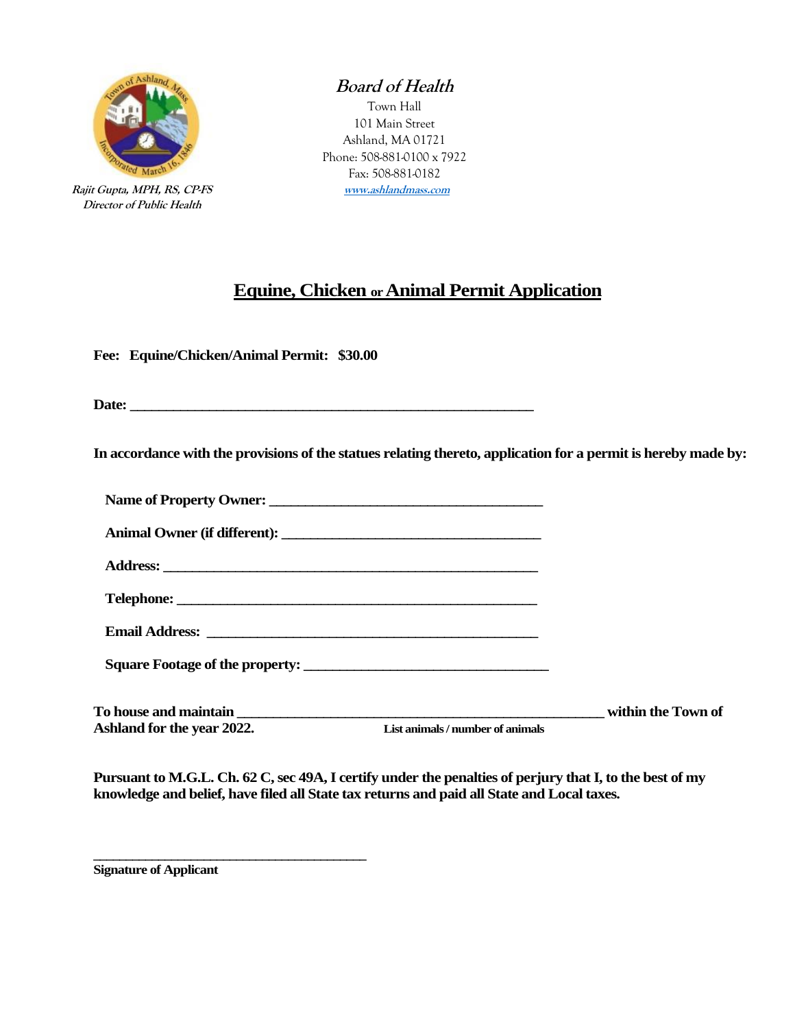

 **Rajit Gupta, MPH, RS, CP-FS [www.ashlandmass.com](http://www.ashlandmass.com/) Director of Public Health** 

## **Board of Health**

Town Hall 101 Main Street Ashland, MA 01721 Phone: 508-881-0100 x 7922 Fax: 508-881-0182

# **Equine, Chicken or Animal Permit Application**

**Fee: Equine/Chicken/Animal Permit: \$30.00**

**Date: \_\_\_\_\_\_\_\_\_\_\_\_\_\_\_\_\_\_\_\_\_\_\_\_\_\_\_\_\_\_\_\_\_\_\_\_\_\_\_\_\_\_\_\_\_\_\_\_\_\_\_\_\_\_\_\_**

**In accordance with the provisions of the statues relating thereto, application for a permit is hereby made by:**

| Email Address: <u>New York: Address:</u> New York: New York: New York: New York: New York: New York: New York: New York: New York: New York: New York: New York: New York: New York: New York: New York: New York: New York: New Yo |                                  |  |
|-------------------------------------------------------------------------------------------------------------------------------------------------------------------------------------------------------------------------------------|----------------------------------|--|
|                                                                                                                                                                                                                                     |                                  |  |
| To house and maintain subset of the contract of the contract of the contract of the contract of the contract of the contract of the contract of the contract of the contract of the contract of the contract of the contract o      |                                  |  |
| Ashland for the year 2022.                                                                                                                                                                                                          | List animals / number of animals |  |

**Pursuant to M.G.L. Ch. 62 C, sec 49A, I certify under the penalties of perjury that I, to the best of my knowledge and belief, have filed all State tax returns and paid all State and Local taxes.**

**Signature of Applicant**

**\_\_\_\_\_\_\_\_\_\_\_\_\_\_\_\_\_\_\_\_\_\_\_\_\_\_\_\_\_\_\_\_\_\_\_\_\_\_\_\_\_\_**